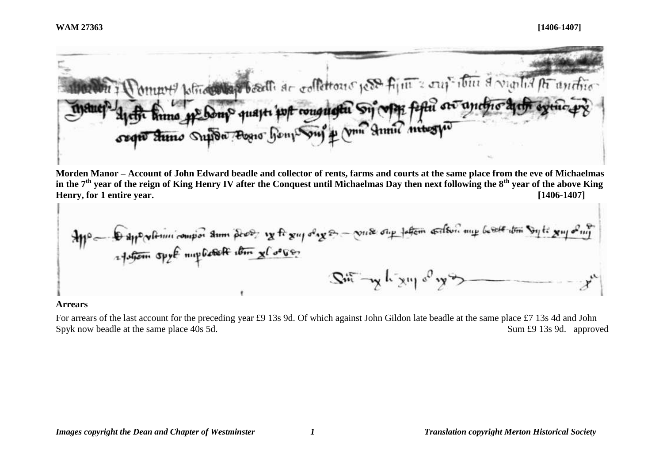

**Morden Manor – Account of John Edward beadle and collector of rents, farms and courts at the same place from the eve of Michaelmas in the 7th year of the reign of King Henry IV after the Conquest until Michaelmas Day then next following the 8th year of the above King Henry, for 1 entire year. [1406-1407]**

$$
\frac{1}{2} \int_{0}^{\infty} \int_{0}^{\infty} \frac{1}{2} \int_{0}^{\infty} \frac{1}{2} \int_{0}^{\infty} \frac{1}{2} \int_{0}^{\infty} \frac{1}{2} \int_{0}^{\infty} \frac{1}{2} \int_{0}^{\infty} \frac{1}{2} \int_{0}^{\infty} \frac{1}{2} \int_{0}^{\infty} \frac{1}{2} \int_{0}^{\infty} \frac{1}{2} \int_{0}^{\infty} \frac{1}{2} \int_{0}^{\infty} \frac{1}{2} \int_{0}^{\infty} \frac{1}{2} \int_{0}^{\infty} \frac{1}{2} \int_{0}^{\infty} \frac{1}{2} \int_{0}^{\infty} \frac{1}{2} \int_{0}^{\infty} \frac{1}{2} \int_{0}^{\infty} \frac{1}{2} \int_{0}^{\infty} \frac{1}{2} \int_{0}^{\infty} \frac{1}{2} \int_{0}^{\infty} \frac{1}{2} \int_{0}^{\infty} \frac{1}{2} \int_{0}^{\infty} \frac{1}{2} \int_{0}^{\infty} \frac{1}{2} \int_{0}^{\infty} \frac{1}{2} \int_{0}^{\infty} \frac{1}{2} \int_{0}^{\infty} \frac{1}{2} \int_{0}^{\infty} \frac{1}{2} \int_{0}^{\infty} \frac{1}{2} \int_{0}^{\infty} \frac{1}{2} \int_{0}^{\infty} \frac{1}{2} \int_{0}^{\infty} \frac{1}{2} \int_{0}^{\infty} \frac{1}{2} \int_{0}^{\infty} \frac{1}{2} \int_{0}^{\infty} \frac{1}{2} \int_{0}^{\infty} \frac{1}{2} \int_{0}^{\infty} \frac{1}{2} \int_{0}^{\infty} \frac{1}{2} \int_{0}^{\infty} \frac{1}{2} \int_{0}^{\infty} \frac{1}{2} \int_{0}^{\infty} \frac{1}{2} \int_{0}^{\infty} \frac{1}{2} \int_{0}^{\infty} \frac{1}{2} \int_{0}^{\infty} \frac{1}{2} \int_{0}^{\infty} \frac
$$

#### **Arrears**

For arrears of the last account for the preceding year £9 13s 9d. Of which against John Gildon late beadle at the same place £7 13s 4d and John Spyk now beadle at the same place 40s 5d. Sum £9 13s 9d. approved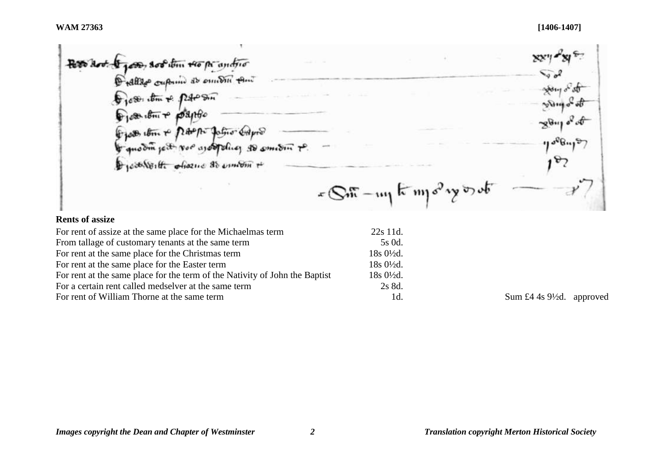Pero hoot & good, soo item to pe antro show of st Dies tom + potosin A. Diese ibni + pospito  $\mathcal{B}_{\mathcal{R}}$ From item + partir fation Gapos to quo din ject vor as obtaining to smeeting Dieservoilte objection de environ +  $x\in\mathbb{S}$  in  $\lim_{n\to\infty}$  in  $\int e^{2n}y\cos\theta$ 

# **Rents of assize**

| For rent of assize at the same place for the Michaelmas term                | $22s$ 11d.             |
|-----------------------------------------------------------------------------|------------------------|
| From tallage of customary tenants at the same term                          | 5s 0d.                 |
| For rent at the same place for the Christmas term                           | $18s\ 0\frac{1}{2}d$ . |
| For rent at the same place for the Easter term                              | $18s\ 0\frac{1}{2}d$ . |
| For rent at the same place for the term of the Nativity of John the Baptist | $18s0\frac{1}{2}d$ .   |
| For a certain rent called medselver at the same term                        | 2s 8d.                 |
| For rent of William Thorne at the same term                                 | 1d.                    |

Sum  $\pounds 4$  4s 9½d. approved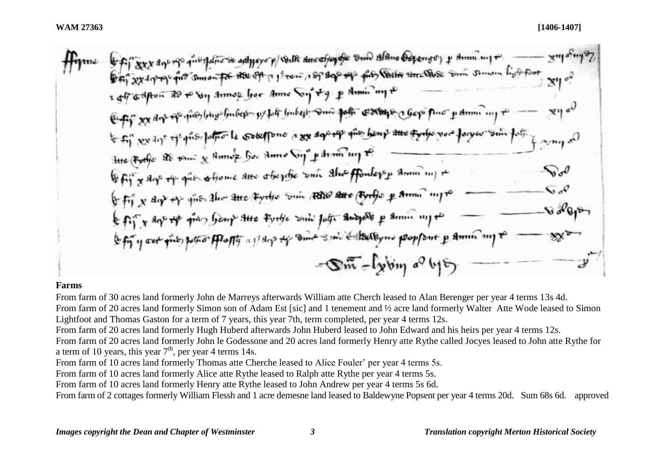# **Farms**

From farm of 30 acres land formerly John de Marreys afterwards William atte Cherch leased to Alan Berenger per year 4 terms 13s 4d. From farm of 20 acres land formerly Simon son of Adam Est [sic] and 1 tenement and 1/2 acre land formerly Walter Atte Wode leased to Simon Lightfoot and Thomas Gaston for a term of 7 years, this year 7th, term completed, per year 4 terms 12s.

From farm of 20 acres land formerly Hugh Huberd afterwards John Huberd leased to John Edward and his heirs per year 4 terms 12s.

From farm of 20 acres land formerly John le Godessone and 20 acres land formerly Henry atte Rythe called Jocyes leased to John atte Rythe for a term of 10 years, this year  $7<sup>th</sup>$ , per year 4 terms 14s.

From farm of 10 acres land formerly Thomas atte Cherche leased to Alice Fouler' per year 4 terms 5s.

From farm of 10 acres land formerly Alice atte Rythe leased to Ralph atte Rythe per year 4 terms 5s.

From farm of 10 acres land formerly Henry atte Rythe leased to John Andrew per year 4 terms 5s 6d.

From farm of 2 cottages formerly William Flessh and 1 acre demesne land leased to Baldewyne Popsent per year 4 terms 20d. Sum 68s 6d. approved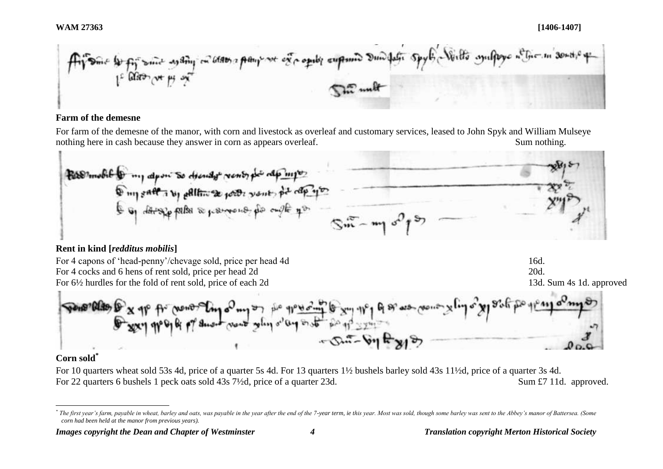# **Farm of the demesne**

For farm of the demesne of the manor, with corn and livestock as overleaf and customary services, leased to John Spyk and William Mulseye nothing here in cash because they answer in corn as appears overleaf. Sum nothing.

Room of to my duon so diendy venty po do myo my saft i by alltime your your pe cap you

# **Rent in kind [***redditus mobilis***]**

For 4 capons of 'head-penny'/chevage sold, price per head 4d 16d. For 4 cocks and 6 hens of rent sold, price per head 2d 20d. For 6<sup>1/2</sup> hurdles for the fold of rent sold, price of each 2d 13d. Sum 4s 1d. approved



# **Corn sold\***

l

For 10 quarters wheat sold 53s 4d, price of a quarter 5s 4d. For 13 quarters 1½ bushels barley sold 43s 11½d, price of a quarter 3s 4d. For 22 quarters 6 bushels 1 peck oats sold 43s 7<sup>1</sup>/2d, price of a quarter 23d. Sum £7 11d. approved.

<sup>\*</sup> The first year's farm, payable in wheat, barley and oats, was payable in the year after the end of the 7-year term, ie this year. Most was sold, though some barley was sent to the Abbey's manor of Battersea. (Some *corn had been held at the manor from previous years).*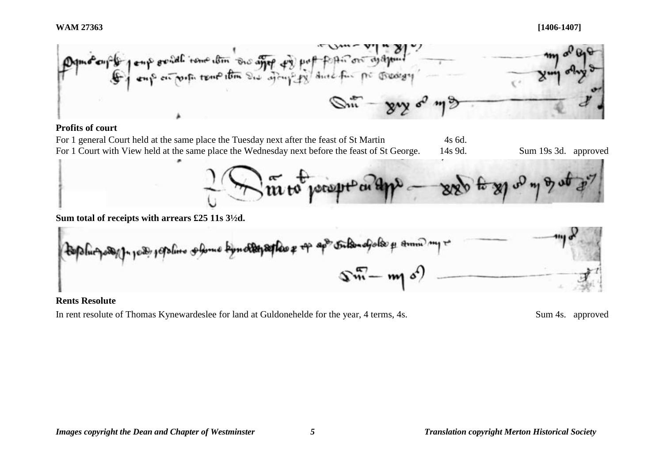

# **Profits of court**



# **Rents Resolute**

In rent resolute of Thomas Kynewardeslee for land at Guldonehelde for the year, 4 terms, 4s. Sum 4s. approved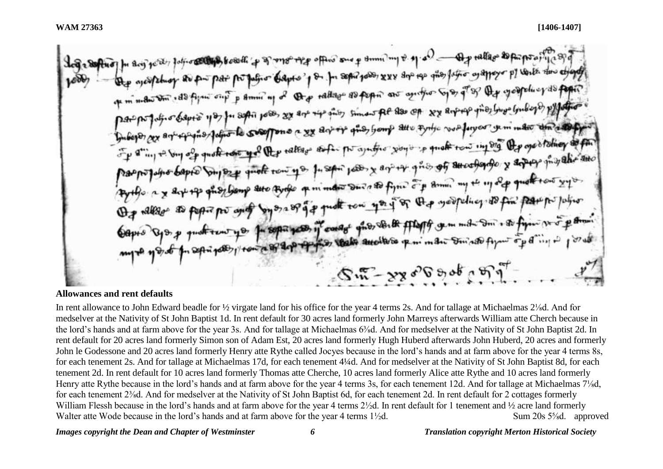In any post of the composition of the other sure of the sense of the state of a state of the composition of peture as pur par postation dapes of on for separation xxx sur the other as allows by verite the ethology of minimum , do figure one p some my of the radiate as peper are aprifice to as of of the googletic y do pope Bapto 1937 for septi poss, sex are ver sins simon fee aso of xx arprese fino low londogos pop Dat por pagno express por compare a xx arriver ques, bomp alle typic vous forgour semimation that a top the sting + by of quote the yel the tallage as for por ajustic you is quote town in org the open toling as for paspopular capies push to get the tent you for sport poor x and the group of attendance y around the and hoy being the toute of minder our and figure of animal my the 117 of quality out Agento a x art of grapheny are type of monde on the story of a goodpeling to fin part por julius Capis Cyo p quottent you for separates of conage ghos to the fileff comment on a so figure profit and why to passing and the state another point of the figure of ding is  $ST_{2}$ 

**Allowances and rent defaults**

In rent allowance to John Edward beadle for ½ virgate land for his office for the year 4 terms 2s. And for tallage at Michaelmas 2⅛d. And for medselver at the Nativity of St John Baptist 1d. In rent default for 30 acres land formerly John Marreys afterwards William atte Cherch because in the lord's hands and at farm above for the year 3s. And for tallage at Michaelmas 6<sup>3</sup>/sd. And for medselver at the Nativity of St John Baptist 2d. In rent default for 20 acres land formerly Simon son of Adam Est, 20 acres land formerly Hugh Huberd afterwards John Huberd, 20 acres and formerly John le Godessone and 20 acres land formerly Henry atte Rythe called Jocyes because in the lord's hands and at farm above for the year 4 terms 8s, for each tenement 2s. And for tallage at Michaelmas 17d, for each tenement 4¼d. And for medselver at the Nativity of St John Baptist 8d, for each tenement 2d. In rent default for 10 acres land formerly Thomas atte Cherche, 10 acres land formerly Alice atte Rythe and 10 acres land formerly Henry atte Rythe because in the lord's hands and at farm above for the year 4 terms 3s, for each tenement 12d. And for tallage at Michaelmas 7⅛d, for each tenement 2⅜d. And for medselver at the Nativity of St John Baptist 6d, for each tenement 2d. In rent default for 2 cottages formerly William Flessh because in the lord's hands and at farm above for the year 4 terms 2½d. In rent default for 1 tenement and ½ acre land formerly Walter atte Wode because in the lord's hands and at farm above for the year 4 terms  $1\frac{1}{2}d$ . Sum 20s  $5\frac{1}{8}d$ . approved

### *Images copyright the Dean and Chapter of Westminster 6 Translation copyright Merton Historical Society*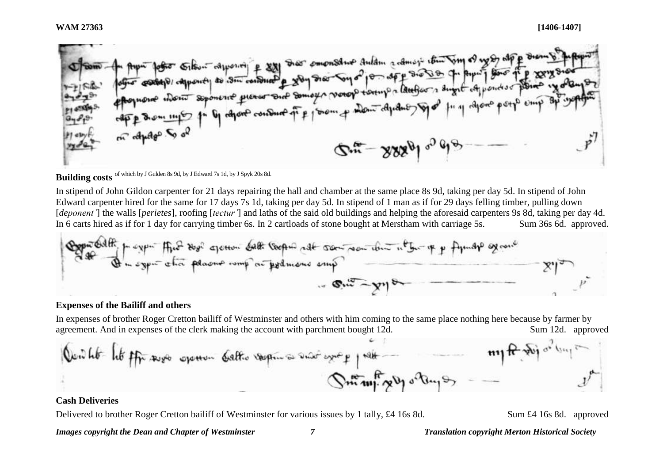to physic for site of appoint & 221 star ements and the remove that some of we perfect and the second of the same of the same of the same of the same of the same of the same of the same of the same of the same of the same m appage to of  $Q_{\mu\nu}$  -  $225\rho$  of  $\sigma$ 

# **Building costs** of which by J Gulden 8s 9d, by J Edward 7s 1d, by J Spyk 20s 8d.

In stipend of John Gildon carpenter for 21 days repairing the hall and chamber at the same place 8s 9d, taking per day 5d. In stipend of John Edward carpenter hired for the same for 17 days 7s 1d, taking per day 5d. In stipend of 1 man as if for 29 days felling timber, pulling down [*deponent'*] the walls [*perietes*], roofing [*tectur'*] and laths of the said old buildings and helping the aforesaid carpenters 9s 8d, taking per day 4d. In 6 carts hired as if for 1 day for carrying timber 6s. In 2 cartloads of stone bought at Merstham with carriage 5s. Sum 36s 6d. approved.



### **Expenses of the Bailiff and others**

In expenses of brother Roger Cretton bailiff of Westminster and others with him coming to the same place nothing here because by farmer by agreement. And in expenses of the clerk making the account with parchment bought 12d. Sum 12d. approved



# **Cash Deliveries**

Delivered to brother Roger Cretton bailiff of Westminster for various issues by 1 tally, £4 16s 8d. Sum £4 16s 8d. approved

*Images copyright the Dean and Chapter of Westminster 7 Translation copyright Merton Historical Society*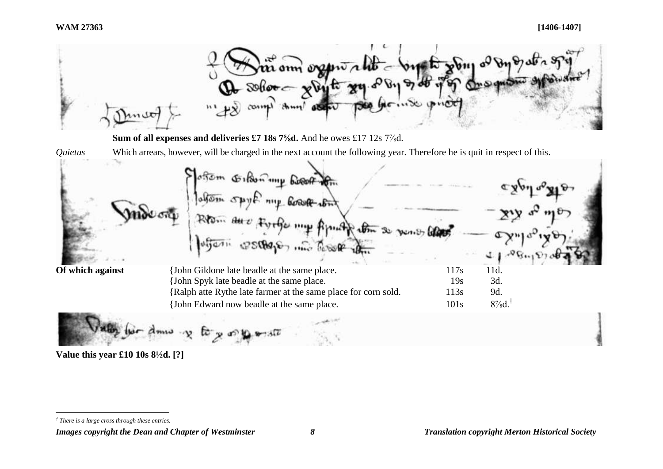

*Images copyright the Dean and Chapter of Westminster 8 Translation copyright Merton Historical Society*

 $\overline{a}$ *† There is a large cross through these entries.*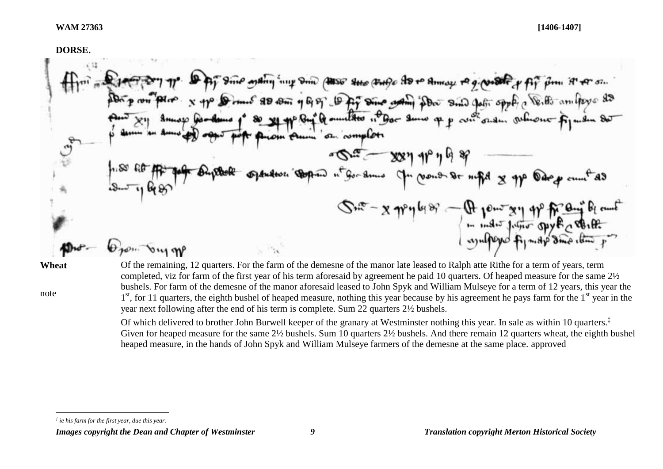**DORSE.** 

is ording in your course the course to to Amer to grow of pip pm it for sin Domes 80 com 1 6, 57 Dig Dine grant pour suis pati sport a Veille amitore 83 If annithes in Bor Sum of p con side, which of an complete  $-87 - 88799998$  $Gen - ...$  $-6$   $-6$   $-6$ mentos - A pour seu ap francês de mais de la mais de la mais de la mais de la mais de la mais de la mais de la<br>de la mais de la mais de la mais de la mais de la mais de la mais de la mais de la mais de la mais de la mais  $\theta$  non bus me

**Wheat**

note

Of the remaining, 12 quarters. For the farm of the demesne of the manor late leased to Ralph atte Rithe for a term of years, term completed, viz for farm of the first year of his term aforesaid by agreement he paid 10 quarters. Of heaped measure for the same 2½ bushels. For farm of the demesne of the manor aforesaid leased to John Spyk and William Mulseye for a term of 12 years, this year the 1<sup>st</sup>, for 11 quarters, the eighth bushel of heaped measure, nothing this year because by his agreement he pays farm for the 1<sup>st</sup> year in the year next following after the end of his term is complete. Sum 22 quarters 2½ bushels.

Of which delivered to brother John Burwell keeper of the granary at Westminster nothing this year. In sale as within 10 quarters.‡ Given for heaped measure for the same 2½ bushels. Sum 10 quarters 2½ bushels. And there remain 12 quarters wheat, the eighth bushel heaped measure, in the hands of John Spyk and William Mulseye farmers of the demesne at the same place. approved

 $\overline{a}$ *‡ ie his farm for the first year, due this year.*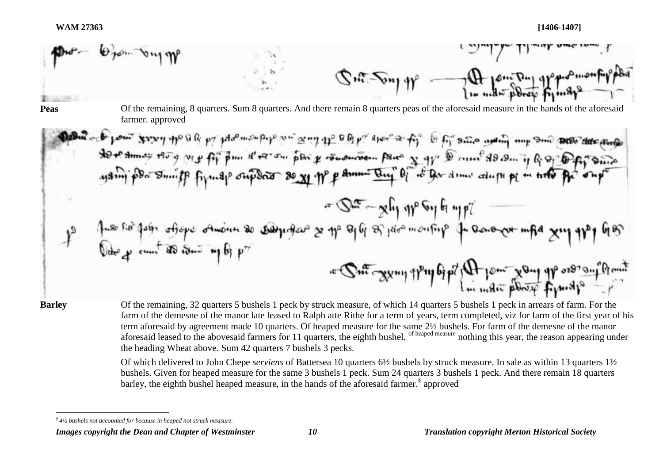

 $\overline{a}$ 

**Barley** Of the remaining, 32 quarters 5 bushels 1 peck by struck measure, of which 14 quarters 5 bushels 1 peck in arrears of farm. For the farm of the demesne of the manor late leased to Ralph atte Rithe for a term of years, term completed, viz for farm of the first year of his term aforesaid by agreement made 10 quarters. Of heaped measure for the same 2½ bushels. For farm of the demesne of the manor aforesaid leased to the abovesaid farmers for 11 quarters, the eighth bushel, <sup>of heaped measure</sup> nothing this year, the reason appearing under the heading Wheat above. Sum 42 quarters 7 bushels 3 pecks.

> Of which delivered to John Chepe *serviens* of Battersea 10 quarters 6½ bushels by struck measure. In sale as within 13 quarters 1½ bushels. Given for heaped measure for the same 3 bushels 1 peck. Sum 24 quarters 3 bushels 1 peck. And there remain 18 quarters barley, the eighth bushel heaped measure, in the hands of the aforesaid farmer.<sup>§</sup> approved

*<sup>§</sup> 4½ bushels not accounted for because in heaped not struck measure.*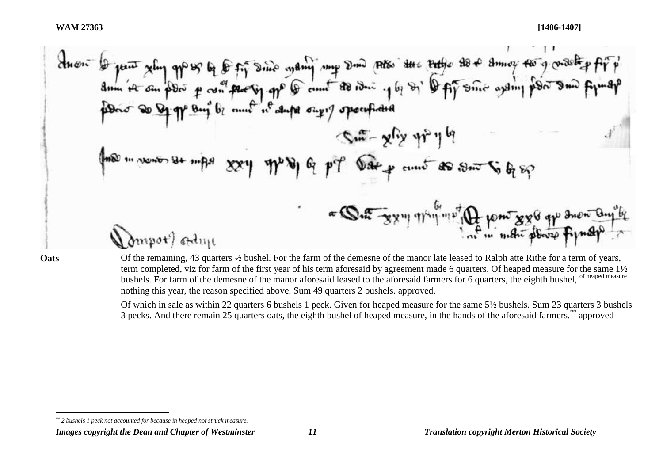$\overline{a}$ 

**Oats** Of the remaining, 43 quarters <sup>1/2</sup> bushel. For the farm of the demesne of the manor late leased to Ralph atte Rithe for a term of years, term completed, viz for farm of the first year of his term aforesaid by agreement made 6 quarters. Of heaped measure for the same 1½ bushels. For farm of the demesne of the manor aforesaid leased to the aforesaid farmers for 6 quarters, the eighth bushel, of heaped measure nothing this year, the reason specified above. Sum 49 quarters 2 bushels. approved.

> Of which in sale as within 22 quarters 6 bushels 1 peck. Given for heaped measure for the same 5½ bushels. Sum 23 quarters 3 bushels 3 pecks. And there remain 25 quarters oats, the eighth bushel of heaped measure, in the hands of the aforesaid farmers.\*\* approved

*<sup>\*\*</sup> 2 bushels 1 peck not accounted for because in heaped not struck measure.*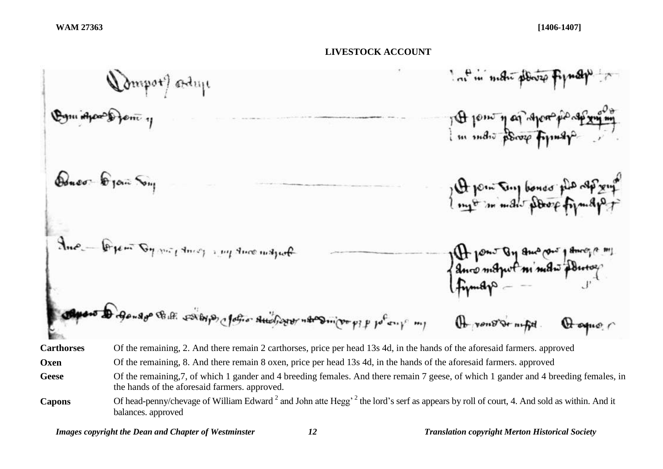# **LIVESTOCK ACCOUNT**

**Carthorses** Of the remaining, 2. And there remain 2 carthorses, price per head 13s 4d, in the hands of the aforesaid farmers. approved **Oxen** Of the remaining, 8. And there remain 8 oxen, price per head 13s 4d, in the hands of the aforesaid farmers. approved **Geese** Of the remaining,7, of which 1 gander and 4 breeding females. And there remain 7 geese, of which 1 gander and 4 breeding females, in the hands of the aforesaid farmers. approved. **Capons** Of head-penny/chevage of William Edward <sup>2</sup> and John atte Hegg' <sup>2</sup> the lord's serf as appears by roll of court, 4. And sold as within. And it balances. approved

*Images copyright the Dean and Chapter of Westminster 12 Translation copyright Merton Historical Society*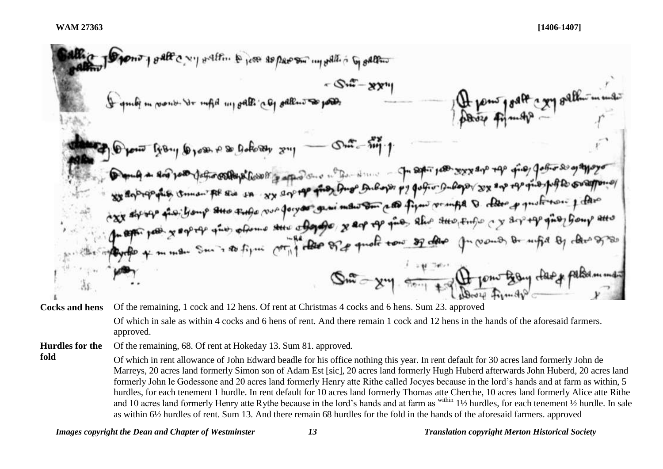**Cocks and hens** Of the remaining, 1 cock and 12 hens. Of rent at Christmas 4 cocks and 6 hens. Sum 23. approved Of which in sale as within 4 cocks and 6 hens of rent. And there remain 1 cock and 12 hens in the hands of the aforesaid farmers. approved.

**Hurdles for the**  Of the remaining, 68. Of rent at Hokeday 13. Sum 81. approved.

**fold** Of which in rent allowance of John Edward beadle for his office nothing this year. In rent default for 30 acres land formerly John de Marreys, 20 acres land formerly Simon son of Adam Est [sic], 20 acres land formerly Hugh Huberd afterwards John Huberd, 20 acres land formerly John le Godessone and 20 acres land formerly Henry atte Rithe called Jocyes because in the lord's hands and at farm as within, 5 hurdles, for each tenement 1 hurdle. In rent default for 10 acres land formerly Thomas atte Cherche, 10 acres land formerly Alice atte Rithe and 10 acres land formerly Henry atte Rythe because in the lord's hands and at farm as within 1½ hurdles, for each tenement ½ hurdle. In sale as within 6½ hurdles of rent. Sum 13. And there remain 68 hurdles for the fold in the hands of the aforesaid farmers. approved

*Images copyright the Dean and Chapter of Westminster 13 Translation copyright Merton Historical Society*